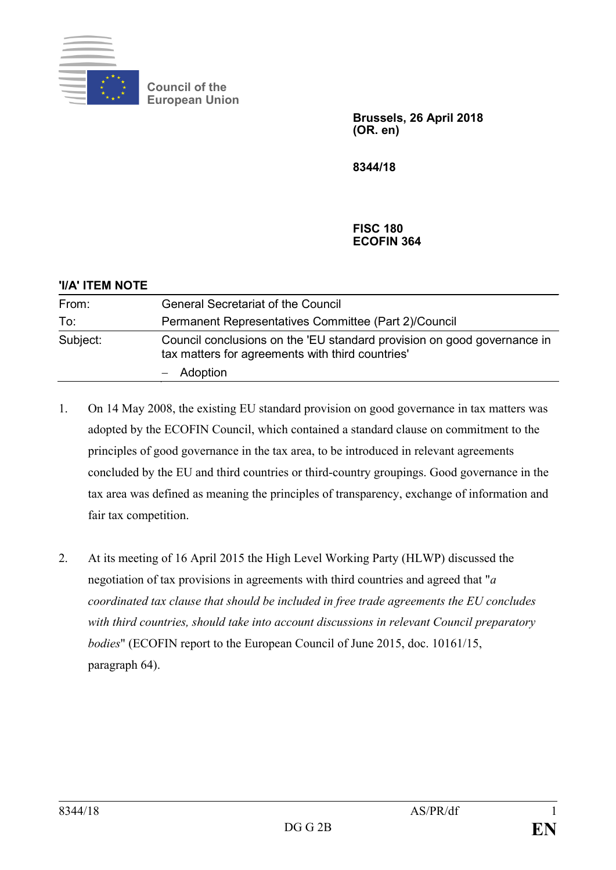

**Council of the European Union**

> **Brussels, 26 April 2018 (OR. en)**

**8344/18**

## **FISC 180 ECOFIN 364**

| 'I/A' ITEM NOTE |                                                                                                                             |
|-----------------|-----------------------------------------------------------------------------------------------------------------------------|
| From:           | <b>General Secretariat of the Council</b>                                                                                   |
| To:             | Permanent Representatives Committee (Part 2)/Council                                                                        |
| Subject:        | Council conclusions on the 'EU standard provision on good governance in<br>tax matters for agreements with third countries' |
|                 | $-$ Adoption                                                                                                                |

- 1. On 14 May 2008, the existing EU standard provision on good governance in tax matters was adopted by the ECOFIN Council, which contained a standard clause on commitment to the principles of good governance in the tax area, to be introduced in relevant agreements concluded by the EU and third countries or third-country groupings. Good governance in the tax area was defined as meaning the principles of transparency, exchange of information and fair tax competition.
- 2. At its meeting of 16 April 2015 the High Level Working Party (HLWP) discussed the negotiation of tax provisions in agreements with third countries and agreed that "*a coordinated tax clause that should be included in free trade agreements the EU concludes with third countries, should take into account discussions in relevant Council preparatory bodies*" (ECOFIN report to the European Council of June 2015, doc. 10161/15, paragraph 64).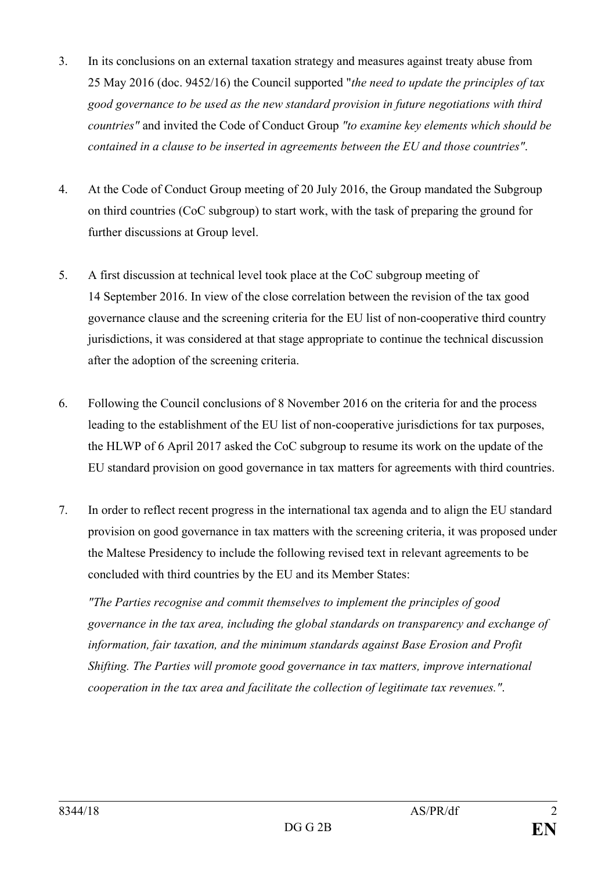- 3. In its conclusions on an external taxation strategy and measures against treaty abuse from 25 May 2016 (doc. 9452/16) the Council supported "*the need to update the principles of tax good governance to be used as the new standard provision in future negotiations with third countries"* and invited the Code of Conduct Group *"to examine key elements which should be contained in a clause to be inserted in agreements between the EU and those countries"*.
- 4. At the Code of Conduct Group meeting of 20 July 2016, the Group mandated the Subgroup on third countries (CoC subgroup) to start work, with the task of preparing the ground for further discussions at Group level.
- 5. A first discussion at technical level took place at the CoC subgroup meeting of 14 September 2016. In view of the close correlation between the revision of the tax good governance clause and the screening criteria for the EU list of non-cooperative third country jurisdictions, it was considered at that stage appropriate to continue the technical discussion after the adoption of the screening criteria.
- 6. Following the Council conclusions of 8 November 2016 on the criteria for and the process leading to the establishment of the EU list of non-cooperative jurisdictions for tax purposes, the HLWP of 6 April 2017 asked the CoC subgroup to resume its work on the update of the EU standard provision on good governance in tax matters for agreements with third countries.
- 7. In order to reflect recent progress in the international tax agenda and to align the EU standard provision on good governance in tax matters with the screening criteria, it was proposed under the Maltese Presidency to include the following revised text in relevant agreements to be concluded with third countries by the EU and its Member States:

*"The Parties recognise and commit themselves to implement the principles of good governance in the tax area, including the global standards on transparency and exchange of information, fair taxation, and the minimum standards against Base Erosion and Profit Shifting. The Parties will promote good governance in tax matters, improve international cooperation in the tax area and facilitate the collection of legitimate tax revenues."*.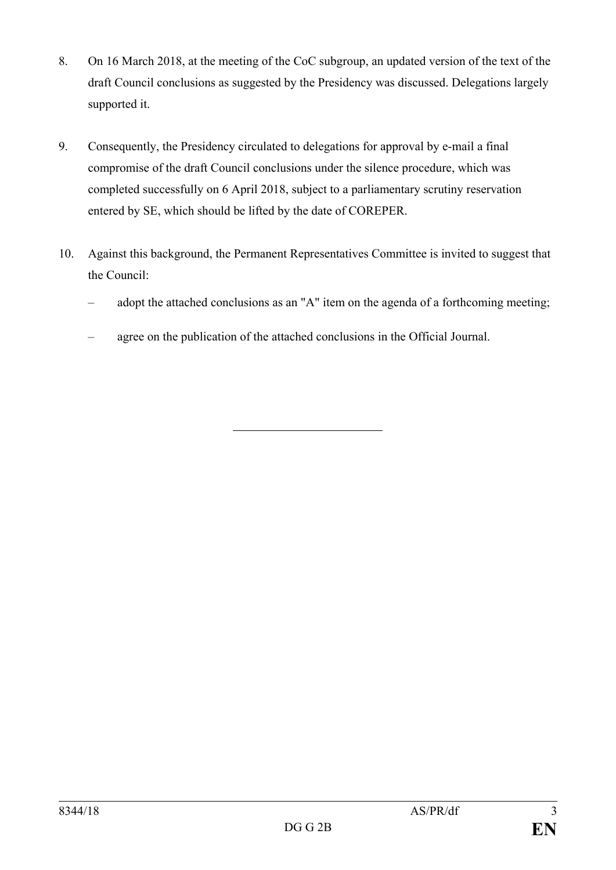- 8. On 16 March 2018, at the meeting of the CoC subgroup, an updated version of the text of the draft Council conclusions as suggested by the Presidency was discussed. Delegations largely supported it.
- 9. Consequently, the Presidency circulated to delegations for approval by e-mail a final compromise of the draft Council conclusions under the silence procedure, which was completed successfully on 6 April 2018, subject to a parliamentary scrutiny reservation entered by SE, which should be lifted by the date of COREPER.
- 10. Against this background, the Permanent Representatives Committee is invited to suggest that the Council:
	- adopt the attached conclusions as an "A" item on the agenda of a forthcoming meeting;
	- agree on the publication of the attached conclusions in the Official Journal.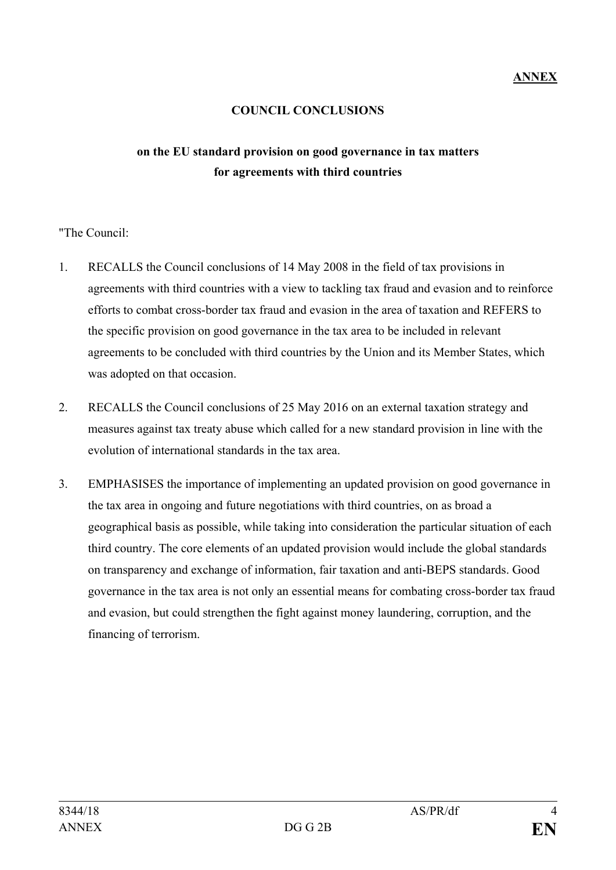## **COUNCIL CONCLUSIONS**

## **on the EU standard provision on good governance in tax matters for agreements with third countries**

"The Council:

- 1. RECALLS the Council conclusions of 14 May 2008 in the field of tax provisions in agreements with third countries with a view to tackling tax fraud and evasion and to reinforce efforts to combat cross-border tax fraud and evasion in the area of taxation and REFERS to the specific provision on good governance in the tax area to be included in relevant agreements to be concluded with third countries by the Union and its Member States, which was adopted on that occasion.
- 2. RECALLS the Council conclusions of 25 May 2016 on an external taxation strategy and measures against tax treaty abuse which called for a new standard provision in line with the evolution of international standards in the tax area.
- 3. EMPHASISES the importance of implementing an updated provision on good governance in the tax area in ongoing and future negotiations with third countries, on as broad a geographical basis as possible, while taking into consideration the particular situation of each third country. The core elements of an updated provision would include the global standards on transparency and exchange of information, fair taxation and anti-BEPS standards. Good governance in the tax area is not only an essential means for combating cross-border tax fraud and evasion, but could strengthen the fight against money laundering, corruption, and the financing of terrorism.